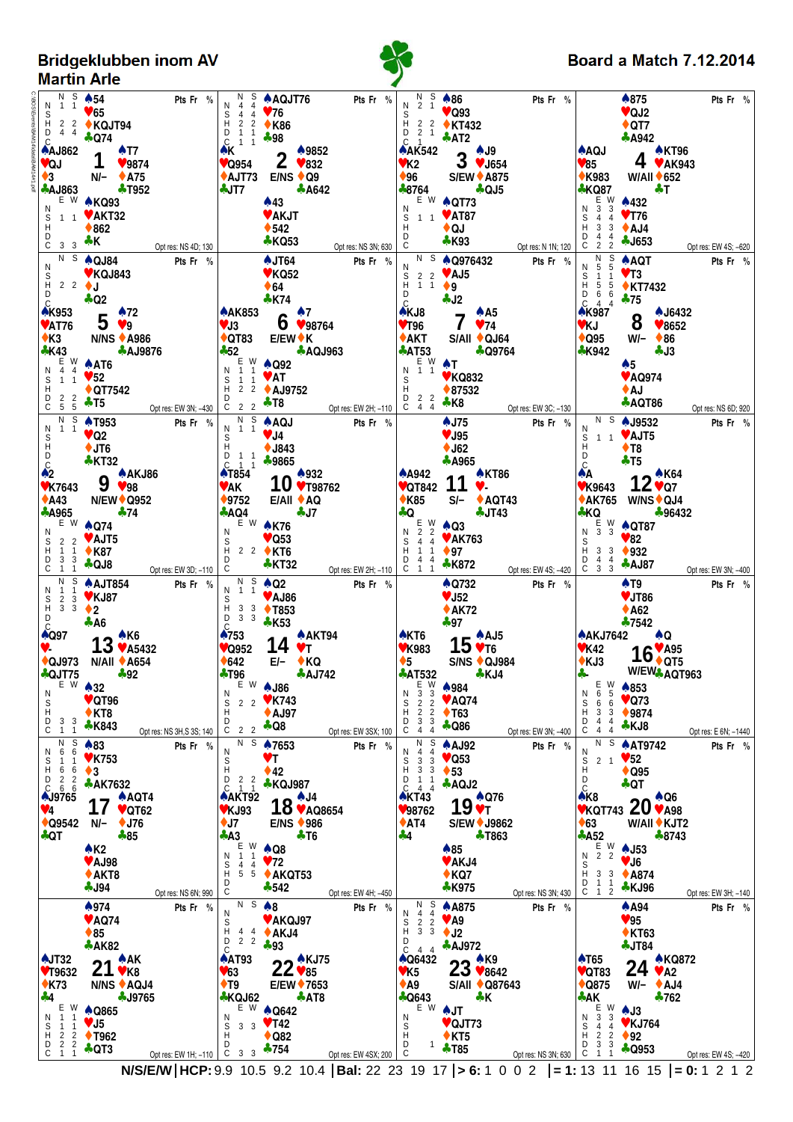Bridgeklubben inom AV<br>Martin Arle



## **Board a Match 7.12.2014**

| N S<br>N 1 1<br>D 4 4<br>$\mathbb C$<br><b>AAJ862</b>                                                                                                     | $\clubsuit$ 54<br>$\blacktriangledown 65$<br>$H$ 2 2 MG5<br>$H$ 2 2 MGJT94<br>$+ Q74$<br>$\clubsuit$ T7<br>$\mathbf 1$                                                                                                                                                                                                                      | Pts Fr %                              | N<br>$\overline{4}$<br>N<br>$44$ $\sqrt{76}$<br>S 4 4<br>H 2 2<br>D 1 1<br>C 1 1<br>٨K  | A AQJT76<br>$^{2}_{1}$ $^{2}_{1}$ $^{*}_{0}$ K86<br>♣98<br>♣ 9852                  | Pts Fr %                                                                 | N S<br>2 <sub>1</sub><br>S<br>D 2 1<br>$C \quad 1$                               | $*86$<br>$\triangledown$ Q93<br>$H = 2$ $2 \div KT432$<br>$+ AT2$                                      | Pts Fr %                         | <b>AAQJ</b>                                                                                                                                 | $\clubsuit 875$<br>$\vee$ QJ2<br>$\triangle$ QT7<br><b>A942</b><br>▲ KT96 | Pts Fr %                         |
|-----------------------------------------------------------------------------------------------------------------------------------------------------------|---------------------------------------------------------------------------------------------------------------------------------------------------------------------------------------------------------------------------------------------------------------------------------------------------------------------------------------------|---------------------------------------|-----------------------------------------------------------------------------------------|------------------------------------------------------------------------------------|--------------------------------------------------------------------------|----------------------------------------------------------------------------------|--------------------------------------------------------------------------------------------------------|----------------------------------|---------------------------------------------------------------------------------------------------------------------------------------------|---------------------------------------------------------------------------|----------------------------------|
| VQJ<br>$\bullet$ 3                                                                                                                                        | 9874<br>N/- ♦ A75<br>$\clubsuit$ AJ863 $\clubsuit$ T952                                                                                                                                                                                                                                                                                     |                                       | $\sqrt{\phantom{0}0954}$<br>♣JT7                                                        | $\mathbf{Z}$ $\mathbf{v}$ 832<br>$\triangle$ AJT73 E/NS $\triangle$ Q9<br>$+ A642$ |                                                                          | $*8764$                                                                          | AAK542<br>VK2 3 VJ654<br>V96 S/EW A875<br>S/EW ♦ A875<br><b>4 QJ5</b>                                  |                                  | $\blacktriangledown 85$<br>$\triangle$ K983<br><b>*KQ87</b>                                                                                 | $4 \times A K943$<br>$W/AII + 652$<br><b>AT</b>                           |                                  |
| N<br>S<br>H<br>D<br>$C$ 3 3 $\clubsuit K$                                                                                                                 | E W AKQ93<br>1 1 <b>V AKT32</b><br>$\triangle$ 862                                                                                                                                                                                                                                                                                          |                                       |                                                                                         | $*43$<br>♥ AKJT<br>$\triangle$ 542<br><b>*KQ53</b>                                 |                                                                          | N<br>D<br>C                                                                      | $E$ W $\triangle$ QT73<br>$S$ 1 1 <b>VAT87</b><br>$H$ <b>AOJ</b><br>$\bullet$ QJ<br><b>+K93</b>        |                                  | $E W$<br>3 3<br>N<br>$\overline{\mathbf{s}}$<br>44<br>$\begin{array}{ccc} 3 & 3 \\ 4 & 4 \end{array}$<br>D<br>$\mathsf C$<br>2 <sub>2</sub> | $*432$<br>$V$ T76<br>$\triangle$ AJ4<br><b>4J653</b>                      |                                  |
| N                                                                                                                                                         | $\overline{N}$ S $\spadesuit$ QJ84<br>♥ KQJ843                                                                                                                                                                                                                                                                                              | Opt res: NS 4D; 130<br>Pts Fr %       |                                                                                         | $\clubsuit$ JT64<br>$V$ KQ52                                                       | Opt res: NS 3N; 630<br>Pts Fr %                                          | N                                                                                | $\overline{N}$ S $\triangle$ Q976432                                                                   | Opt res: N 1N; 120<br>Pts Fr %   | $\begin{bmatrix} N & S \\ 5 & 5 \end{bmatrix}$<br>N                                                                                         | <b>A AQT</b><br>$V$ T3                                                    | Opt res: EW 4S; -620<br>Pts Fr % |
| $H$ 2 2 $\bigcup$<br>D<br>$\mathsf{C}$                                                                                                                    | $\clubsuit$ Q2                                                                                                                                                                                                                                                                                                                              |                                       |                                                                                         | $\triangle$ 64<br>$\div$ K74                                                       |                                                                          | $S$ 2 2 <b>v AJ5</b><br>$H$ 1 1 <b>+ 9</b><br>$\overline{c}$                     | $\clubsuit$ J2                                                                                         |                                  | $S$<br>$D$<br>$1\quad1$<br>$\begin{array}{rrrr} 1 & 5 & 5 \\ D & 6 & 6 \\ C & 4 & 4 \end{array}$                                            | ♦ KT7432<br>$+75$                                                         |                                  |
| <b>AK953</b><br>$\blacktriangledown$ AT76<br>$\bullet$ K3                                                                                                 | $5 \frac{172}{19}$<br><b>N/NS ♦ A986</b>                                                                                                                                                                                                                                                                                                    |                                       |                                                                                         | $\frac{1.444853}{1.3}$ 6 $\frac{1.7}{1.98764}$<br>◆QT83 E/EW◆K                     |                                                                          | <b>AKJ8</b><br>$\sqrt{796}$<br>$\triangle$ AKT                                   | $7 \sqrt[4]{14}$<br>S/All ♦ QJ64                                                                       |                                  | <b>AK987</b><br><b>VKJ</b><br>$\triangle$ Q95                                                                                               | A J6432<br>8<br>$\blacktriangledown 8652$<br>$W/ \rightarrow$ 86          |                                  |
| $\frac{1}{2}$ K43<br>E W                                                                                                                                  | <b>A AJ9876</b><br>$\triangle$ AT6                                                                                                                                                                                                                                                                                                          |                                       | $-52$                                                                                   | $E = W$ $\triangle$ Q92                                                            | <b>AQJ963</b>                                                            | $\bigtriangleup$ AT53                                                            | <b>4 Q9764</b><br>$N$ 1 1<br>S<br>S<br>$N$ 1 1<br>V KQ832                                              |                                  | <b>*K942</b>                                                                                                                                | $-13$<br>$\clubsuit$ 5                                                    |                                  |
| N 4 4<br>S<br>Н<br>2 <sub>2</sub><br>D<br>$\frac{1}{5}$ $\frac{1}{5}$ $\frac{1}{7}$ T5<br>C                                                               | $\frac{1}{1}$ $\frac{1}{1}$ $\sqrt{52}$<br>$\triangle$ QT7542                                                                                                                                                                                                                                                                               | Opt res: EW 3N; -430                  | N 1 1                                                                                   | S 1 1 VAT<br>H 2 2 4 AJ9752                                                        | H 2 2 ◆ AJ9752<br>C 2 2 ←T8<br>N S 4 C C 2 D tres: EW 2H; -110 C 4 4 ←K8 |                                                                                  |                                                                                                        | Opt res: EW 3C; -130             |                                                                                                                                             | ♥ AQ974<br>$\triangle$ AJ<br><b>AQT86</b>                                 | Opt res: NS 6D; 920              |
| N S<br>N<br>$1\quad1$                                                                                                                                     | <b>AT953</b><br>$\sqrt{\mathsf{Q2}}$                                                                                                                                                                                                                                                                                                        | Pts Fr %                              |                                                                                         | $N$ $\overline{1}$ $\overline{1}$ $\overline{4}$ $\overline{AQJ}$                  | Pts Fr %                                                                 |                                                                                  | <b>AJ75</b><br>$V$ J95                                                                                 | Pts Fr %                         | Ν<br>$S$ 1 1 <b>VAJT5</b><br>$H$ <b>TR</b>                                                                                                  | $\overline{N}$ S $\triangle$ J9532                                        | Pts Fr %                         |
| $\overline{\overline{S}}$<br>D<br>$\mathbf{C}$                                                                                                            | $+JT6$<br><b>*KT32</b>                                                                                                                                                                                                                                                                                                                      |                                       | S<br>H<br>D<br>1 1 3 9865<br>C<br>1 1 3 9865                                            |                                                                                    |                                                                          |                                                                                  | $\bigstar$ J62<br><b>A965</b>                                                                          |                                  | $\rm _C^D$                                                                                                                                  | $\triangle$ T <sub>8</sub><br>$\clubsuit$ T <sub>5</sub>                  |                                  |
| $\triangle$ A43                                                                                                                                           | $\frac{1}{2}$<br>$\frac{1}{2}$ $\frac{1}{2}$ $\frac{1}{2}$ $\frac{1}{2}$ $\frac{1}{2}$ $\frac{1}{2}$ $\frac{1}{2}$ $\frac{1}{2}$ $\frac{1}{2}$ $\frac{1}{2}$ $\frac{1}{2}$ $\frac{1}{2}$ $\frac{1}{2}$ $\frac{1}{2}$ $\frac{1}{2}$ $\frac{1}{2}$ $\frac{1}{2}$ $\frac{1}{2}$ $\frac{1}{2}$ $\frac{1}{2}$ $\frac{1}{2}$<br><b>N/EW♦ Q952</b> |                                       | <b>AT854</b><br>VAK<br>$*9752$                                                          | 10 $*$ <sup>932</sup><br>$E/All + AQ$                                              |                                                                          | <b>A</b> 842<br>$\big\blacktriangleright$ K85                                    | <b>A KT86</b><br>$\frac{1.44442}{1.444444}$ 11 $\frac{1.44442}{1.444444}$<br>$S/ \triangle$ AQT43      |                                  | ѦA<br>$V$ K9643                                                                                                                             | 12 <sup>*K64</sup><br>◆AK765 W/NS◆ QJ4                                    |                                  |
| <b>A965</b><br>N                                                                                                                                          | $\clubsuit$ 74<br>E W $\bullet$ Q74                                                                                                                                                                                                                                                                                                         |                                       | $+AQ4$<br>$E = W$ $\triangle$ K76<br>N                                                  | 7ل ۾                                                                               |                                                                          | l÷Q                                                                              | $\clubsuit$ JT43                                                                                       |                                  | $N2$ $N3$ $N3$ $N3$ $N3$                                                                                                                    | $\clubsuit$ KQ $\clubsuit$ 96432                                          |                                  |
| $_{\rm H}^{\rm S}$<br>D 3 3<br>$C$ 1 1                                                                                                                    | 2 2 VAJT5<br>$1 \quad 1 \quad \bullet$ K87<br>÷QJ8                                                                                                                                                                                                                                                                                          | Opt res: EW 3D; $-110$ C              | $H$ 2 2 $\bullet$ KT6                                                                   | $\triangledown$ Q53<br><b>*KT32</b>                                                | Opt res: EW 2H; $-110$ $\overline{C}$ 1 1                                | D 4 4                                                                            | $5\overline{4}$ $\overline{4}$ <b>VAK/b.</b><br>$H$ 1 1 <b>97</b><br><b>*K872</b> Opt res: EW 4S; -420 |                                  | S<br>H 3 3 <b>↓932</b><br>D 4 4<br>$\frac{1}{6}$ $\frac{1}{3}$ $\frac{1}{3}$ $\frac{1}{3}$ AJ87                                             | $\sqrt{82}$                                                               |                                  |
| N 1 1                                                                                                                                                     | $\overline{N}$ \$ $\triangle$ AJT854                                                                                                                                                                                                                                                                                                        | Pts Fr %                              | N 1 1                                                                                   | $N_S$ $\triangle$ Q2<br>♥ AJ86                                                     | Pts Fr %                                                                 |                                                                                  | <b>A Q732</b><br>$V$ J52                                                                               | Pts Fr %                         |                                                                                                                                             | $\triangle$ T9<br><b>V JT86</b>                                           | Opt res: EW 3N; -400<br>Pts Fr % |
| D<br>$\mathsf{C}$                                                                                                                                         | $S_2$ $S_3$ $S_4$ <b>v</b> KJ87<br><b>4 A6</b>                                                                                                                                                                                                                                                                                              |                                       | $\begin{array}{ccc} 18 & 3 & 3 \\ H & 3 & 3 \\ 12 & 3 & 3 \\ 2 & 3 & 3 \end{array}$ K53 |                                                                                    |                                                                          |                                                                                  | $*AK72$<br>$+97$                                                                                       |                                  |                                                                                                                                             | $\triangle$ A62<br>$+7542$                                                |                                  |
| ♠Q97<br>Y-                                                                                                                                                | $13*16*45432*$                                                                                                                                                                                                                                                                                                                              |                                       | $\binom{1}{2}$ 753<br>$\sqrt{\phantom{0}0952}$                                          | <b>A AKT94</b><br>14<br>VT.                                                        |                                                                          | <b>AKT6</b><br><b>VK983</b>                                                      |                                                                                                        |                                  | <b>AKJ7642</b><br>$V$ K42<br>$\triangle$ KJ3                                                                                                | AQ<br>$16_{\ast}^{\prime}$ A95                                            |                                  |
| $\triangle$ QJ973<br>+QJT75<br>E W                                                                                                                        | <b>N/AII ♦ A654</b><br>$+92$<br>$\clubsuit$ 32                                                                                                                                                                                                                                                                                              |                                       | $*642$<br>♣ 196                                                                         | $E/- \rightarrow KQ$<br><b>AJ742</b><br>E W A J86                                  |                                                                          | $\frac{1}{6}$<br><b>AT532</b><br>E                                               | S/NS ♦ QJ984<br>$\clubsuit$ KJ4<br>♦984                                                                |                                  | $\frac{1}{2}$<br>$\frac{E}{6}$<br>W                                                                                                         | W/EW <sub>*</sub> AQT963<br>♠853                                          |                                  |
| N<br>S<br>н<br>D<br>3<br>3                                                                                                                                | $\blacktriangledown$ QT96<br>$\triangle$ KT8                                                                                                                                                                                                                                                                                                |                                       | N<br>S<br>Н                                                                             | 2 2 VK743<br>$\triangle$ AJ97                                                      |                                                                          | $\sqrt{3}$<br>3<br>N<br>$\frac{2}{2}$<br>S<br>$\overline{2}$<br>H<br>2<br>3<br>3 | <b>VAQ74</b><br>♦ 163                                                                                  |                                  | N<br>-5<br>$\frac{S}{H}$<br>$^6_3$<br>6<br>3<br>$\overline{4}$                                                                              | $\sqrt{Q}$ 73<br>♦ 9874                                                   |                                  |
| C<br>$\mathbf{1}$<br>N<br>S                                                                                                                               | *K843<br>A83                                                                                                                                                                                                                                                                                                                                | Opt res: NS 3H, S 3S; 140<br>Pts Fr % | D<br>$2\sqrt{2}$ $\clubsuit$ Q8<br>С<br>N S                                             | ♦7653                                                                              | Opt res: EW 3SX; 100<br>Pts Fr %                                         | D<br>C<br>S                                                                      | <b>4 Q86</b><br><b>A AJ92</b>                                                                          | Opt res: EW 3N; -400<br>Pts Fr % | D<br>$\mathsf C$<br>4<br>$\overline{4}$<br>N S                                                                                              | ♣KJ8<br><b>A AT9742</b>                                                   | Opt res: E 6N; -1440<br>Pts Fr % |
| 6<br>N<br>6<br>S<br>н<br>6<br>6<br>D<br>$\overline{2}$                                                                                                    | <b>♥ K753</b><br>$\bullet$ 3                                                                                                                                                                                                                                                                                                                |                                       | N<br>S<br>Н                                                                             | VT<br>$\blacklozenge$ 42                                                           |                                                                          | S<br>H<br>3<br>3<br>3<br>3<br>$\mathbf{1}$<br>D                                  | $\sqrt{Q53}$<br>$\triangle$ 53                                                                         |                                  | N<br>$2 \t1 \t\sqrt{52}$<br>$\frac{S}{H}$<br>D                                                                                              | $\triangle$ Q95                                                           |                                  |
| $\frac{2}{6}$<br>C<br>6<br>♣J9765                                                                                                                         | <b>AK7632</b><br>A AQT4                                                                                                                                                                                                                                                                                                                     |                                       | $\begin{array}{ccc} D & 2 & 2 \\ C & 1 & 1 \end{array}$<br>AAKT92                       | <b>*KQJ987</b><br>10 <sup>4J4</sup>                                                |                                                                          | C<br>44<br><b>AKT43</b>                                                          | *AQJ2<br>$19^{*076}_{*T}$                                                                              |                                  | $\mathsf C$                                                                                                                                 | $\clubsuit$ QT<br><b>AK8</b><br><b>VKQT743</b> 20 $*$ A98                 |                                  |
| 74<br>$\bigstar$ Q9542<br>∻QT                                                                                                                             | 17<br>$\blacktriangledown$ QT62<br>$\leftrightarrow$ J76<br>N/–<br>$+85$                                                                                                                                                                                                                                                                    |                                       | $V$ KJ93<br>$\bigstar$ J7<br>$+A3$                                                      | $IO$ $\vee$ AQ8654<br>E/NS ♦ 986<br>$\clubsuit$ T <sub>6</sub>                     |                                                                          | ♥98762<br>$*AT4$<br>44                                                           | S/EW ♦ J9862<br><b>*T863</b>                                                                           |                                  | $\triangle$ 63<br>$+ A52$                                                                                                                   | W/All ♦ KJT2<br>♣8743                                                     |                                  |
|                                                                                                                                                           | $\triangle$ K <sub>2</sub><br>♥ AJ98                                                                                                                                                                                                                                                                                                        |                                       | W<br>Е.<br>N<br>$\overline{1}$<br>-1<br>$4\quad 4$                                      | $\clubsuit$ Q8<br>$\sqrt{72}$                                                      |                                                                          |                                                                                  | ♠85<br>♥ AKJ4                                                                                          |                                  | E W<br>2 <sub>2</sub><br>N                                                                                                                  | $\clubsuit$ J53<br>VJ6                                                    |                                  |
|                                                                                                                                                           | $*$ AKT8<br><b>4 J94</b>                                                                                                                                                                                                                                                                                                                    | Opt res: NS 6N; 990                   | $_{\rm H}^{\rm S}$<br>$5\overline{5}$<br>D<br>C                                         | ◆ AKQT53<br>$+542$                                                                 | Opt res: EW 4H; -450                                                     |                                                                                  | $\triangle$ KQ7<br>*K975                                                                               | Opt res: NS 3N; 430              | S<br>H<br>3 <sup>3</sup><br>$1 \quad 1$<br>D<br>$C$ 1 2                                                                                     | <b>A874</b><br>*KJ96                                                      | Opt res: EW 3H; -140             |
|                                                                                                                                                           | $*974$<br><b>VAQ74</b>                                                                                                                                                                                                                                                                                                                      | Pts Fr %                              | $N_S$ 48<br>N<br>S                                                                      | ♥ AKQJ97                                                                           | Pts Fr %                                                                 | S<br>$\overline{4}$<br>N<br>4<br>$_{\rm H}^{\rm S}$                              | <b>A</b> A875<br>$2\overline{2}$ $\blacktriangleright$ A9                                              | Pts Fr %                         |                                                                                                                                             | $\clubsuit$ A94<br>95                                                     | Pts Fr %                         |
|                                                                                                                                                           | $\triangle$ 85<br><b>*AK82</b>                                                                                                                                                                                                                                                                                                              |                                       | н<br>$2\overline{2}$<br>$_{\rm C}^{\rm D}$                                              | $44$ $\rightarrow$ AKJ4<br>$+93$                                                   |                                                                          | 3 <sub>3</sub><br>D<br>č.<br>44                                                  | $\blacklozenge$ J2<br><b>AJ972</b>                                                                     |                                  |                                                                                                                                             | $\triangle$ KT63<br><b>4 JT84</b>                                         |                                  |
| $\triangle$ JT32<br>$V$ T9632<br>$\triangle$ K73                                                                                                          | $21*AR$<br>N/NS ♦ AQJ4                                                                                                                                                                                                                                                                                                                      |                                       | <b>AAT93</b><br>♥63<br>$\blacklozenge$ T9                                               | $22$ MKJ75<br>$22 \times 85$<br>E/EW ♦ 7653                                        |                                                                          | <b>A Q6432</b><br>V <sub>K5</sub><br>$\triangle$ A9                              | $22$ $\bullet$ Kg<br>$25$ $\sqrt{8642}$<br>S/All ♦ Q87643                                              |                                  | <b>AT65</b><br>$\sqrt{QT83}$<br>$\triangle$ Q875                                                                                            | A KQ872<br>24<br>$\blacktriangledown$ A2<br>$W/ \triangle$ AJ4            |                                  |
| 44<br>Е<br>- W                                                                                                                                            | <b>4J9765</b><br><b>A Q865</b>                                                                                                                                                                                                                                                                                                              |                                       | ♣KQJ62<br>E W                                                                           | $\clubsuit$ AT8<br><b>A Q642</b>                                                   |                                                                          | <b>AQ643</b><br>E W                                                              | ÷К<br>AJT                                                                                              |                                  | ∻AK<br>$\frac{E}{3}$<br>W                                                                                                                   | $+762$<br>$A$ J3                                                          |                                  |
| $\overline{1}$<br>N<br>-1<br>S<br>$\overline{1}$<br>$\overline{1}$<br>Ĥ<br>$\begin{array}{ccc} 2 & 2 \\ 2 & 2 \\ 1 & 1 \end{array}$<br>$_{\rm C}^{\rm D}$ | $V$ J5                                                                                                                                                                                                                                                                                                                                      |                                       | N<br>$_{\rm H}^{\rm S}$                                                                 | $3 \times 3$ $\sqrt{142}$                                                          |                                                                          | N<br>S                                                                           | $\blacktriangledown$ QJT73                                                                             |                                  | -3<br>N<br>$_{\rm H}^{\rm S}$                                                                                                               | ♥ KJ764                                                                   |                                  |
|                                                                                                                                                           | <b>↑ T962</b><br>+QT3                                                                                                                                                                                                                                                                                                                       |                                       | $\frac{1}{2}$ 3 3 $\frac{1}{2}$ 754                                                     | $\triangle$ Q82                                                                    |                                                                          | Ĥ<br>D<br>$\mathbf{1}$                                                           | $\triangle$ KT5<br><b>+T85</b>                                                                         |                                  | $\begin{array}{ccc}\n4 & 4 \\ 2 & 2 \\ 3 & 3\n\end{array}$<br>$_{\rm C}^{\rm D}$                                                            | $\blacklozenge$ 92<br><b>4 Q953</b>                                       |                                  |